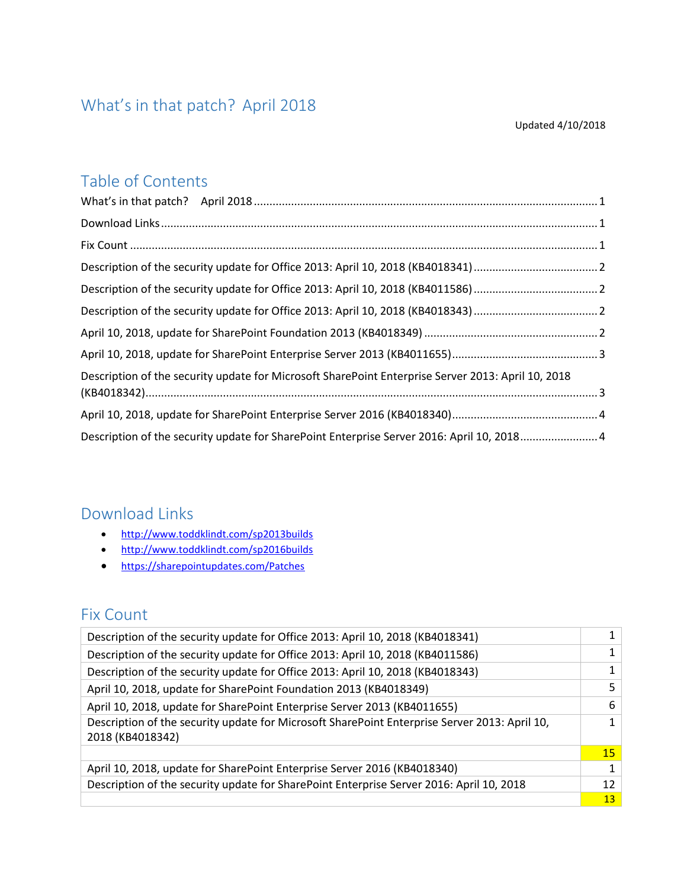### <span id="page-0-0"></span>What's in that patch? April 2018

#### Updated 4/10/2018

### Table of Contents

| Description of the security update for Microsoft SharePoint Enterprise Server 2013: April 10, 2018 |  |
|----------------------------------------------------------------------------------------------------|--|
|                                                                                                    |  |
| Description of the security update for SharePoint Enterprise Server 2016: April 10, 2018 4         |  |

### <span id="page-0-1"></span>Download Links

- <http://www.toddklindt.com/sp2013builds>
- <http://www.toddklindt.com/sp2016builds>
- <https://sharepointupdates.com/Patches>

### <span id="page-0-2"></span>Fix Count

| Description of the security update for Office 2013: April 10, 2018 (KB4018341)                                    | $1\vert$        |
|-------------------------------------------------------------------------------------------------------------------|-----------------|
| Description of the security update for Office 2013: April 10, 2018 (KB4011586)                                    |                 |
| Description of the security update for Office 2013: April 10, 2018 (KB4018343)                                    | $1\vert$        |
| April 10, 2018, update for SharePoint Foundation 2013 (KB4018349)                                                 | 5 <sup>1</sup>  |
| April 10, 2018, update for SharePoint Enterprise Server 2013 (KB4011655)                                          | 6               |
| Description of the security update for Microsoft SharePoint Enterprise Server 2013: April 10,<br>2018 (KB4018342) |                 |
|                                                                                                                   | 15 <sub>1</sub> |
| April 10, 2018, update for SharePoint Enterprise Server 2016 (KB4018340)                                          |                 |
| Description of the security update for SharePoint Enterprise Server 2016: April 10, 2018                          | 12              |
|                                                                                                                   | 13 <sup>°</sup> |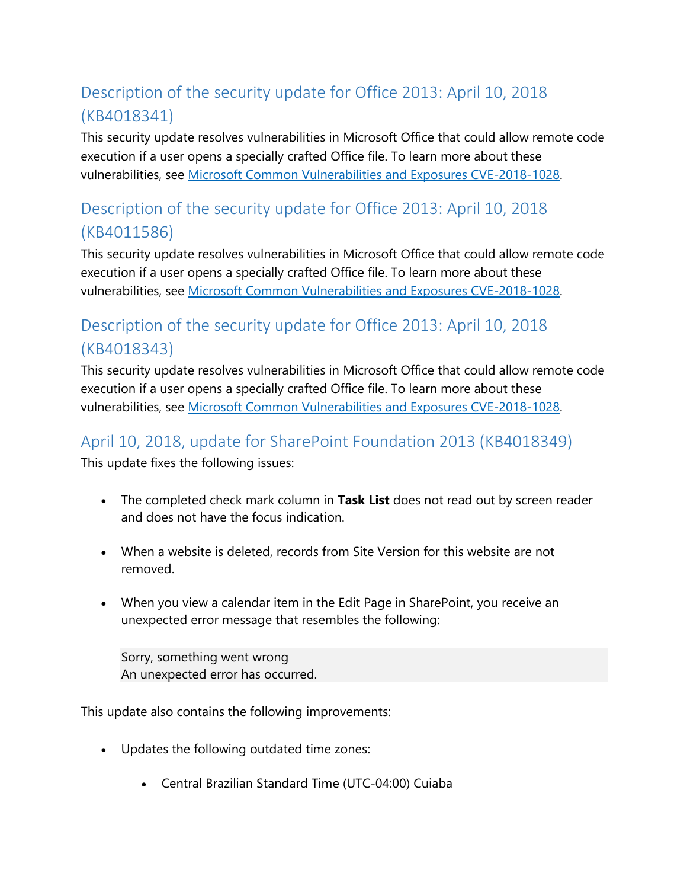# <span id="page-1-0"></span>Description of the security update for Office 2013: April 10, 2018 (KB4018341)

This security update resolves vulnerabilities in Microsoft Office that could allow remote code execution if a user opens a specially crafted Office file. To learn more about these vulnerabilities, see [Microsoft Common Vulnerabilities and Exposures CVE-2018-1028.](https://portal.msrc.microsoft.com/en-US/security-guidance/advisory/CVE-2018-1028)

## <span id="page-1-1"></span>Description of the security update for Office 2013: April 10, 2018 (KB4011586)

This security update resolves vulnerabilities in Microsoft Office that could allow remote code execution if a user opens a specially crafted Office file. To learn more about these vulnerabilities, see [Microsoft Common Vulnerabilities and Exposures CVE-2018-1028.](https://portal.msrc.microsoft.com/en-US/security-guidance/advisory/CVE-2018-1028)

### <span id="page-1-2"></span>Description of the security update for Office 2013: April 10, 2018 (KB4018343)

This security update resolves vulnerabilities in Microsoft Office that could allow remote code execution if a user opens a specially crafted Office file. To learn more about these vulnerabilities, see [Microsoft Common Vulnerabilities and Exposures CVE-2018-1028.](https://portal.msrc.microsoft.com/en-US/security-guidance/advisory/CVE-2018-1028)

### <span id="page-1-3"></span>April 10, 2018, update for SharePoint Foundation 2013 (KB4018349)

This update fixes the following issues:

- The completed check mark column in **Task List** does not read out by screen reader and does not have the focus indication.
- When a website is deleted, records from Site Version for this website are not removed.
- When you view a calendar item in the Edit Page in SharePoint, you receive an unexpected error message that resembles the following:

Sorry, something went wrong An unexpected error has occurred.

This update also contains the following improvements:

- Updates the following outdated time zones:
	- Central Brazilian Standard Time (UTC-04:00) Cuiaba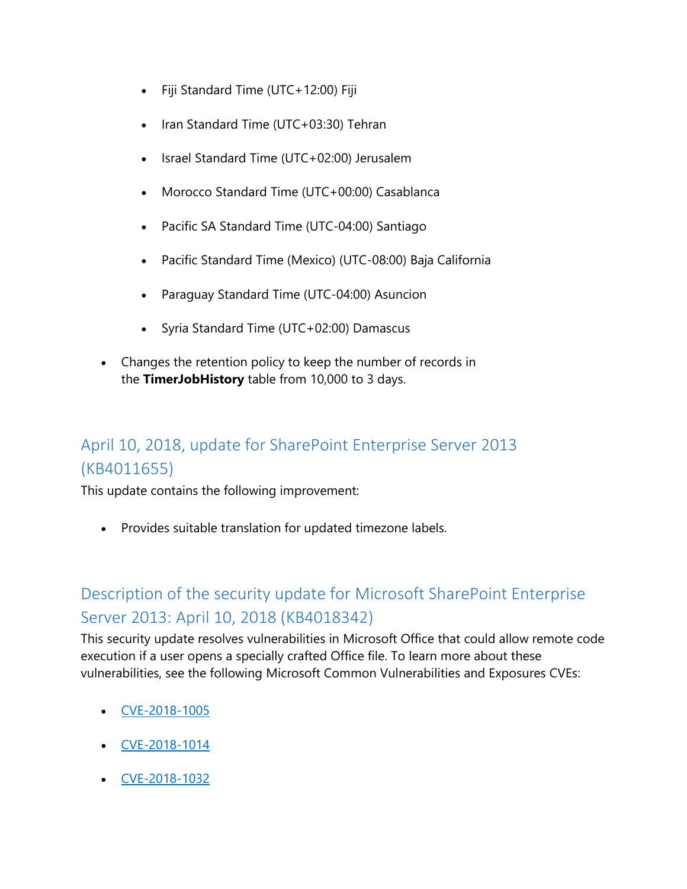- Fiji Standard Time (UTC+12:00) Fiji
- Iran Standard Time (UTC+03:30) Tehran
- Israel Standard Time (UTC+02:00) Jerusalem
- Morocco Standard Time (UTC+00:00) Casablanca
- Pacific SA Standard Time (UTC-04:00) Santiago
- Pacific Standard Time (Mexico) (UTC-08:00) Baja California
- Paraguay Standard Time (UTC-04:00) Asuncion
- Syria Standard Time (UTC+02:00) Damascus
- Changes the retention policy to keep the number of records in the **TimerJobHistory** table from 10,000 to 3 days.

### <span id="page-2-0"></span>April 10, 2018, update for SharePoint Enterprise Server 2013 (KB4011655)

This update contains the following improvement:

• Provides suitable translation for updated timezone labels.

### <span id="page-2-1"></span>Description of the security update for Microsoft SharePoint Enterprise Server 2013: April 10, 2018 (KB4018342)

This security update resolves vulnerabilities in Microsoft Office that could allow remote code execution if a user opens a specially crafted Office file. To learn more about these vulnerabilities, see the following Microsoft Common Vulnerabilities and Exposures CVEs:

- [CVE-2018-1005](https://portal.msrc.microsoft.com/en-US/security-guidance/advisory/CVE-2018-1005)
- [CVE-2018-1014](https://portal.msrc.microsoft.com/en-US/security-guidance/advisory/CVE-2018-1014)
- [CVE-2018-1032](https://portal.msrc.microsoft.com/en-US/security-guidance/advisory/CVE-2018-1032)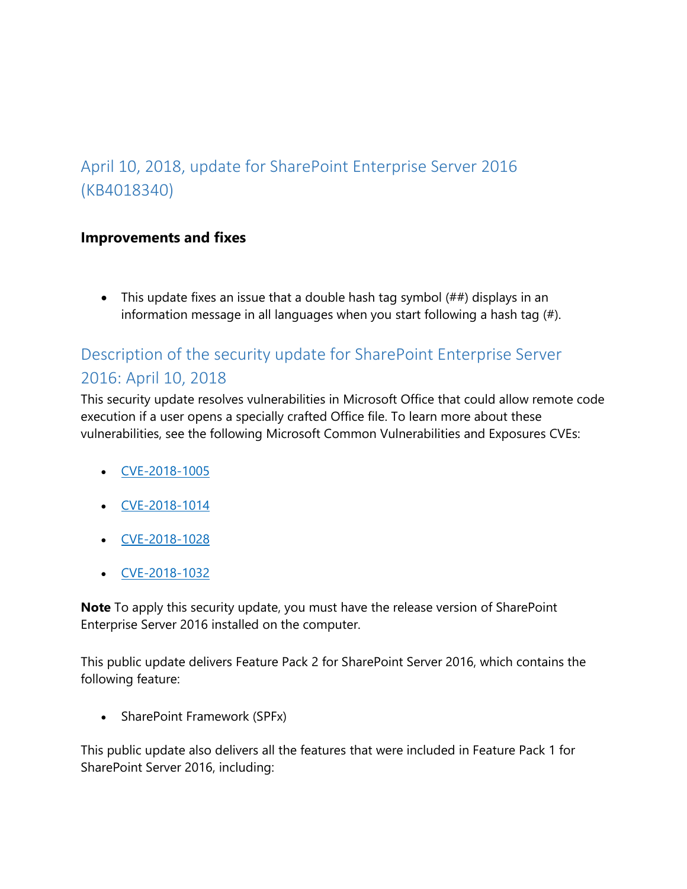### <span id="page-3-0"></span>April 10, 2018, update for SharePoint Enterprise Server 2016 (KB4018340)

#### **Improvements and fixes**

• This update fixes an issue that a double hash tag symbol  $(\# \#)$  displays in an information message in all languages when you start following a hash tag (#).

# <span id="page-3-1"></span>Description of the security update for SharePoint Enterprise Server 2016: April 10, 2018

This security update resolves vulnerabilities in Microsoft Office that could allow remote code execution if a user opens a specially crafted Office file. To learn more about these vulnerabilities, see the following Microsoft Common Vulnerabilities and Exposures CVEs:

- [CVE-2018-1005](https://portal.msrc.microsoft.com/en-US/security-guidance/advisory/CVE-2018-1005)
- $\bullet$  [CVE-2018-1014](https://portal.msrc.microsoft.com/en-US/security-guidance/advisory/CVE-2018-1014)
- [CVE-2018-1028](https://portal.msrc.microsoft.com/en-US/security-guidance/advisory/CVE-2018-1028)
- [CVE-2018-1032](https://portal.msrc.microsoft.com/en-US/security-guidance/advisory/CVE-2018-1032)

**Note** To apply this security update, you must have the release version of SharePoint Enterprise Server 2016 installed on the computer.

This public update delivers Feature Pack 2 for SharePoint Server 2016, which contains the following feature:

• SharePoint Framework (SPFx)

This public update also delivers all the features that were included in Feature Pack 1 for SharePoint Server 2016, including: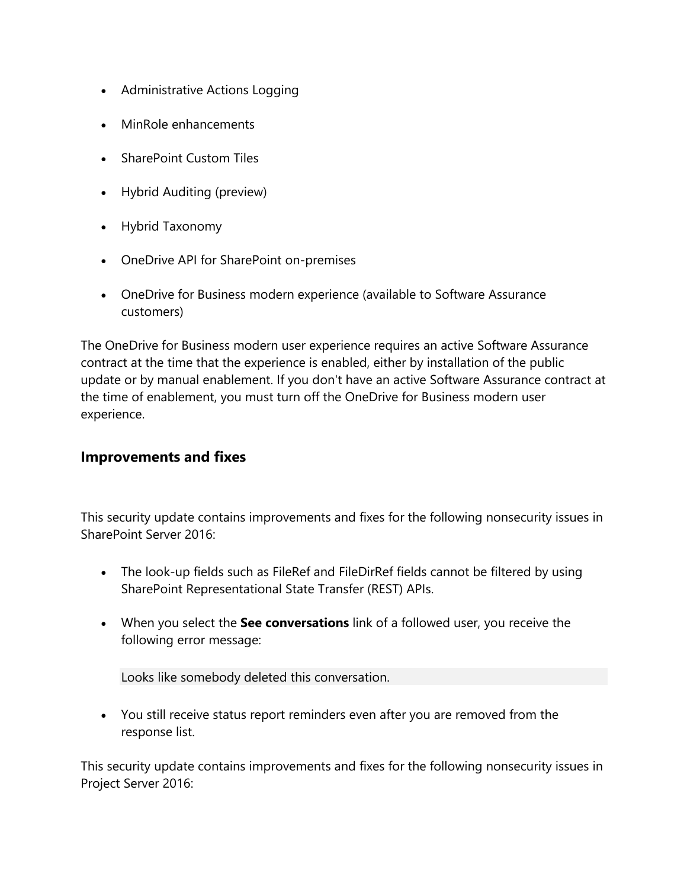- Administrative Actions Logging
- MinRole enhancements
- SharePoint Custom Tiles
- Hybrid Auditing (preview)
- Hybrid Taxonomy
- OneDrive API for SharePoint on-premises
- OneDrive for Business modern experience (available to Software Assurance customers)

The OneDrive for Business modern user experience requires an active Software Assurance contract at the time that the experience is enabled, either by installation of the public update or by manual enablement. If you don't have an active Software Assurance contract at the time of enablement, you must turn off the OneDrive for Business modern user experience.

#### **Improvements and fixes**

This security update contains improvements and fixes for the following nonsecurity issues in SharePoint Server 2016:

- The look-up fields such as FileRef and FileDirRef fields cannot be filtered by using SharePoint Representational State Transfer (REST) APIs.
- When you select the **See conversations** link of a followed user, you receive the following error message:

Looks like somebody deleted this conversation.

• You still receive status report reminders even after you are removed from the response list.

This security update contains improvements and fixes for the following nonsecurity issues in Project Server 2016: